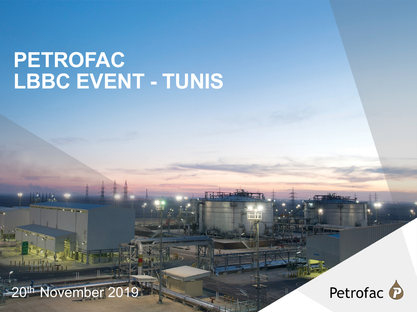# **PETROFAC LBBC EVENT - TUNIS**



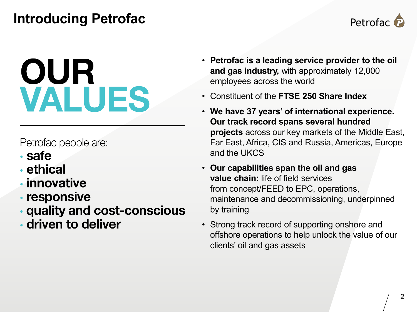### **Introducing Petrofac**



# OUR VALUES

Petrofac people are:

- · safe
- · ethical
- innovative
- responsive
- quality and cost-conscious
- driven to deliver
- **Petrofac is a leading service provider to the oil and gas industry,** with approximately 12,000 employees across the world
- Constituent of the **FTSE 250 Share Index**
- **We have 37 years' of international experience. Our track record spans several hundred projects** across our key markets of the Middle East, Far East, Africa, CIS and Russia, Americas, Europe and the UKCS
- **Our capabilities span the oil and gas value chain:** life of field services from concept/FEED to EPC, operations, maintenance and decommissioning, underpinned by training
- Strong track record of supporting onshore and offshore operations to help unlock the value of our clients' oil and gas assets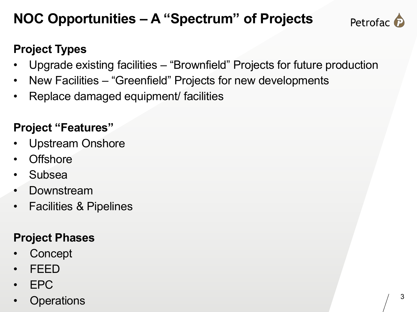## **NOC Opportunities – A "Spectrum" of Projects**



#### **Project Types**

- Upgrade existing facilities "Brownfield" Projects for future production
- New Facilities "Greenfield" Projects for new developments
- Replace damaged equipment/ facilities

#### **Project "Features"**

- Upstream Onshore
- **Offshore**
- Subsea
- Downstream
- Facilities & Pipelines

#### **Project Phases**

- **Concept**
- FEED
- EPC
- **Operations**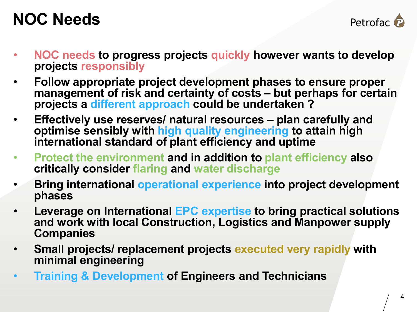# **NOC Needs**



- **NOC needs to progress projects quickly however wants to develop projects responsibly**
- **Follow appropriate project development phases to ensure proper management of risk and certainty of costs – but perhaps for certain projects a different approach could be undertaken ?**
- **Effectively use reserves/ natural resources – plan carefully and optimise sensibly with high quality engineering to attain high international standard of plant efficiency and uptime**
- **Protect the environment and in addition to plant efficiency also critically consider flaring and water discharge**
- **Bring international operational experience into project development phases**
- **Leverage on International EPC expertise to bring practical solutions and work with local Construction, Logistics and Manpower supply Companies**
- **Small projects/ replacement projects executed very rapidly with minimal engineering**
- **Training & Development of Engineers and Technicians**